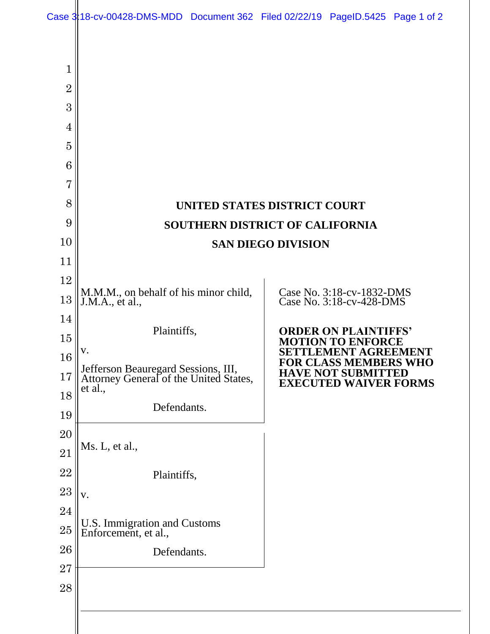|                | Case 3:18-cv-00428-DMS-MDD Document 362 Filed 02/22/19 PageID.5425 Page 1 of 2 |                                                                               |  |                                                                                                                   |  |  |
|----------------|--------------------------------------------------------------------------------|-------------------------------------------------------------------------------|--|-------------------------------------------------------------------------------------------------------------------|--|--|
|                |                                                                                |                                                                               |  |                                                                                                                   |  |  |
| 1              |                                                                                |                                                                               |  |                                                                                                                   |  |  |
| $\overline{2}$ |                                                                                |                                                                               |  |                                                                                                                   |  |  |
| 3              |                                                                                |                                                                               |  |                                                                                                                   |  |  |
| 4              |                                                                                |                                                                               |  |                                                                                                                   |  |  |
| 5              |                                                                                |                                                                               |  |                                                                                                                   |  |  |
| 6              |                                                                                |                                                                               |  |                                                                                                                   |  |  |
| $\overline{7}$ |                                                                                |                                                                               |  |                                                                                                                   |  |  |
| 8              | UNITED STATES DISTRICT COURT                                                   |                                                                               |  |                                                                                                                   |  |  |
| 9              | <b>SOUTHERN DISTRICT OF CALIFORNIA</b>                                         |                                                                               |  |                                                                                                                   |  |  |
| 10             | <b>SAN DIEGO DIVISION</b>                                                      |                                                                               |  |                                                                                                                   |  |  |
| 11             |                                                                                |                                                                               |  |                                                                                                                   |  |  |
| 12             | M.M.M., on behalf of his minor child,                                          |                                                                               |  | Case No. 3:18-cv-1832-DMS                                                                                         |  |  |
| 13             | J.M.A., et al.,                                                                |                                                                               |  | Case No. 3:18-cv-428-DMS                                                                                          |  |  |
| 14             | Plaintiffs,                                                                    |                                                                               |  | <b>ORDER ON PLAINTIFFS'</b>                                                                                       |  |  |
| 15             | V.                                                                             |                                                                               |  | <b>MOTION TO ENFORCE</b>                                                                                          |  |  |
| 16             |                                                                                | Jefferson Beauregard Sessions, III,<br>Attorney General of the United States, |  | SETTLEMENT AGREEMENT<br><b>FOR CLASS MEMBERS WHO</b><br><b>HAVE NOT SUBMITTED</b><br><b>EXECUTED WAIVER FORMS</b> |  |  |
| 17             | et al.,                                                                        |                                                                               |  |                                                                                                                   |  |  |
| 18             | Defendants.                                                                    |                                                                               |  |                                                                                                                   |  |  |
| 19             |                                                                                |                                                                               |  |                                                                                                                   |  |  |
| 20             | Ms. L, et al.,                                                                 |                                                                               |  |                                                                                                                   |  |  |
| 21             |                                                                                |                                                                               |  |                                                                                                                   |  |  |
| 22             | Plaintiffs,                                                                    |                                                                               |  |                                                                                                                   |  |  |
| 23<br>24       | V.                                                                             |                                                                               |  |                                                                                                                   |  |  |
| $25\,$         | U.S. Immigration and Customs                                                   |                                                                               |  |                                                                                                                   |  |  |
| 26             | Enforcement, et al.,                                                           |                                                                               |  |                                                                                                                   |  |  |
| 27             | Defendants.                                                                    |                                                                               |  |                                                                                                                   |  |  |
| 28             |                                                                                |                                                                               |  |                                                                                                                   |  |  |
|                |                                                                                |                                                                               |  |                                                                                                                   |  |  |